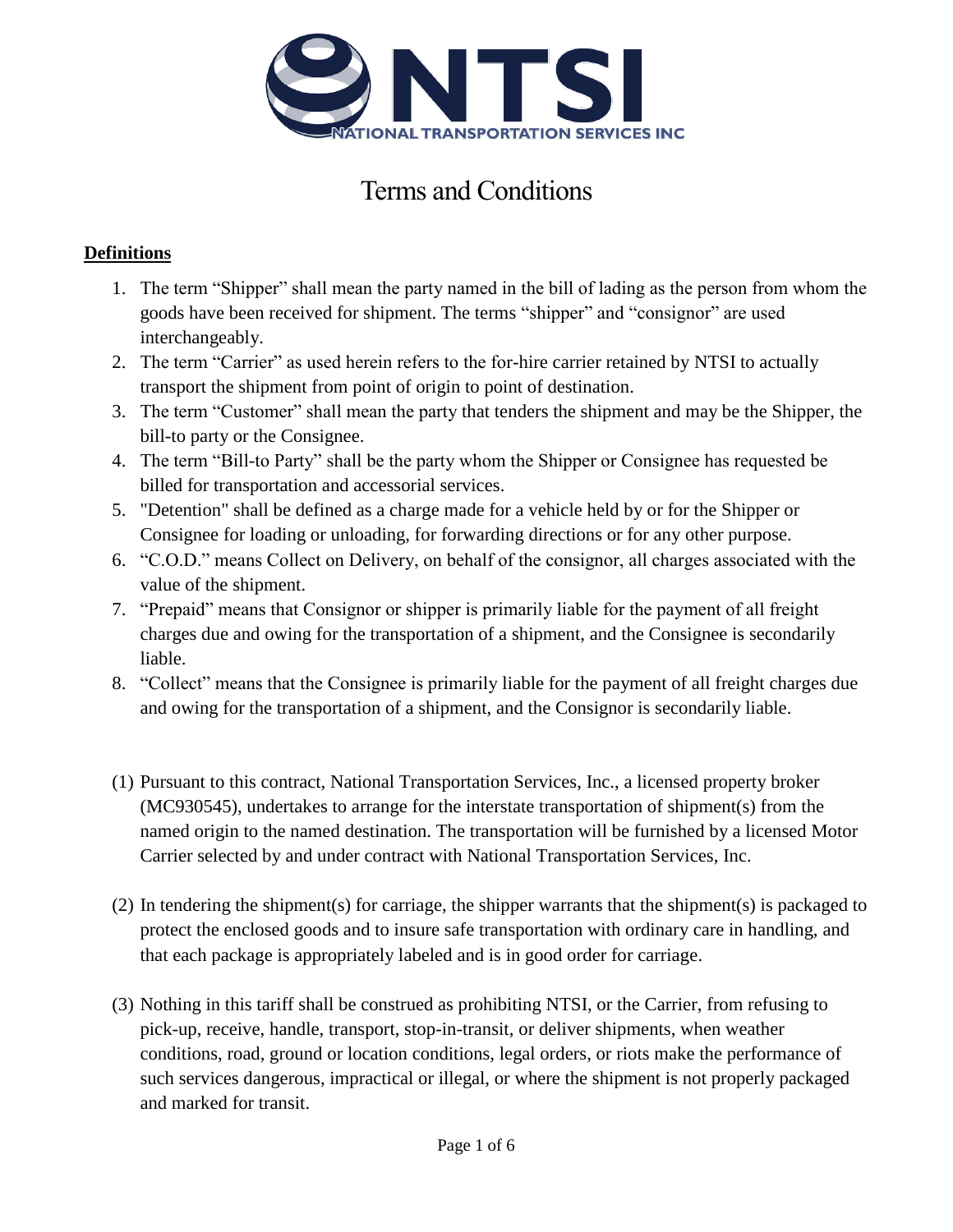

# Terms and Conditions

### **Definitions**

- 1. The term "Shipper" shall mean the party named in the bill of lading as the person from whom the goods have been received for shipment. The terms "shipper" and "consignor" are used interchangeably.
- 2. The term "Carrier" as used herein refers to the for-hire carrier retained by NTSI to actually transport the shipment from point of origin to point of destination.
- 3. The term "Customer" shall mean the party that tenders the shipment and may be the Shipper, the bill-to party or the Consignee.
- 4. The term "Bill-to Party" shall be the party whom the Shipper or Consignee has requested be billed for transportation and accessorial services.
- 5. "Detention" shall be defined as a charge made for a vehicle held by or for the Shipper or Consignee for loading or unloading, for forwarding directions or for any other purpose.
- 6. "C.O.D." means Collect on Delivery, on behalf of the consignor, all charges associated with the value of the shipment.
- 7. "Prepaid" means that Consignor or shipper is primarily liable for the payment of all freight charges due and owing for the transportation of a shipment, and the Consignee is secondarily liable.
- 8. "Collect" means that the Consignee is primarily liable for the payment of all freight charges due and owing for the transportation of a shipment, and the Consignor is secondarily liable.
- (1) Pursuant to this contract, National Transportation Services, Inc., a licensed property broker (MC930545), undertakes to arrange for the interstate transportation of shipment(s) from the named origin to the named destination. The transportation will be furnished by a licensed Motor Carrier selected by and under contract with National Transportation Services, Inc.
- (2) In tendering the shipment(s) for carriage, the shipper warrants that the shipment(s) is packaged to protect the enclosed goods and to insure safe transportation with ordinary care in handling, and that each package is appropriately labeled and is in good order for carriage.
- (3) Nothing in this tariff shall be construed as prohibiting NTSI, or the Carrier, from refusing to pick-up, receive, handle, transport, stop-in-transit, or deliver shipments, when weather conditions, road, ground or location conditions, legal orders, or riots make the performance of such services dangerous, impractical or illegal, or where the shipment is not properly packaged and marked for transit.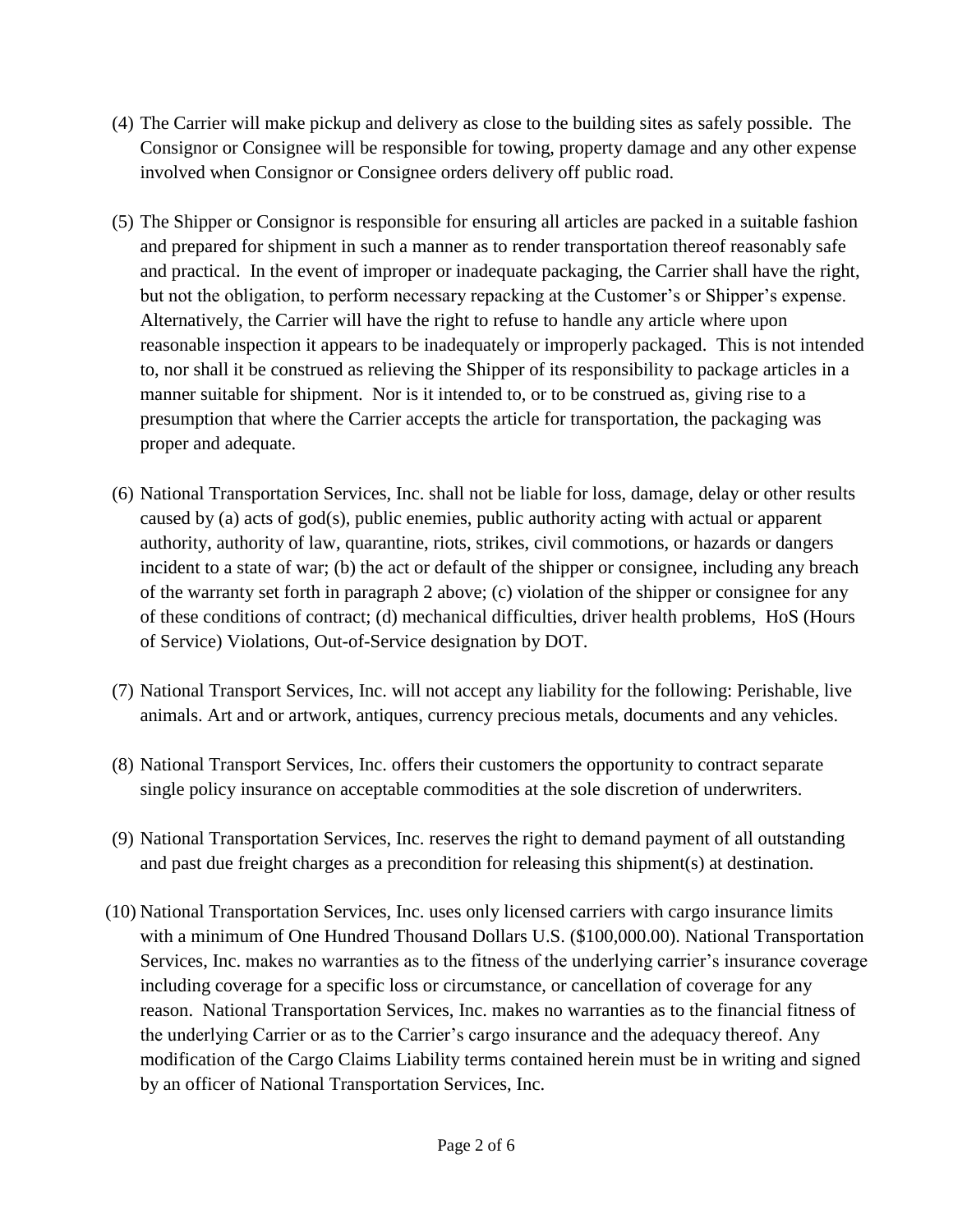- (4) The Carrier will make pickup and delivery as close to the building sites as safely possible. The Consignor or Consignee will be responsible for towing, property damage and any other expense involved when Consignor or Consignee orders delivery off public road.
- (5) The Shipper or Consignor is responsible for ensuring all articles are packed in a suitable fashion and prepared for shipment in such a manner as to render transportation thereof reasonably safe and practical. In the event of improper or inadequate packaging, the Carrier shall have the right, but not the obligation, to perform necessary repacking at the Customer's or Shipper's expense. Alternatively, the Carrier will have the right to refuse to handle any article where upon reasonable inspection it appears to be inadequately or improperly packaged. This is not intended to, nor shall it be construed as relieving the Shipper of its responsibility to package articles in a manner suitable for shipment. Nor is it intended to, or to be construed as, giving rise to a presumption that where the Carrier accepts the article for transportation, the packaging was proper and adequate.
- (6) National Transportation Services, Inc. shall not be liable for loss, damage, delay or other results caused by (a) acts of god(s), public enemies, public authority acting with actual or apparent authority, authority of law, quarantine, riots, strikes, civil commotions, or hazards or dangers incident to a state of war; (b) the act or default of the shipper or consignee, including any breach of the warranty set forth in paragraph 2 above; (c) violation of the shipper or consignee for any of these conditions of contract; (d) mechanical difficulties, driver health problems, HoS (Hours of Service) Violations, Out-of-Service designation by DOT.
- (7) National Transport Services, Inc. will not accept any liability for the following: Perishable, live animals. Art and or artwork, antiques, currency precious metals, documents and any vehicles.
- (8) National Transport Services, Inc. offers their customers the opportunity to contract separate single policy insurance on acceptable commodities at the sole discretion of underwriters.
- (9) National Transportation Services, Inc. reserves the right to demand payment of all outstanding and past due freight charges as a precondition for releasing this shipment(s) at destination.
- (10) National Transportation Services, Inc. uses only licensed carriers with cargo insurance limits with a minimum of One Hundred Thousand Dollars U.S. (\$100,000.00). National Transportation Services, Inc. makes no warranties as to the fitness of the underlying carrier's insurance coverage including coverage for a specific loss or circumstance, or cancellation of coverage for any reason. National Transportation Services, Inc. makes no warranties as to the financial fitness of the underlying Carrier or as to the Carrier's cargo insurance and the adequacy thereof. Any modification of the Cargo Claims Liability terms contained herein must be in writing and signed by an officer of National Transportation Services, Inc.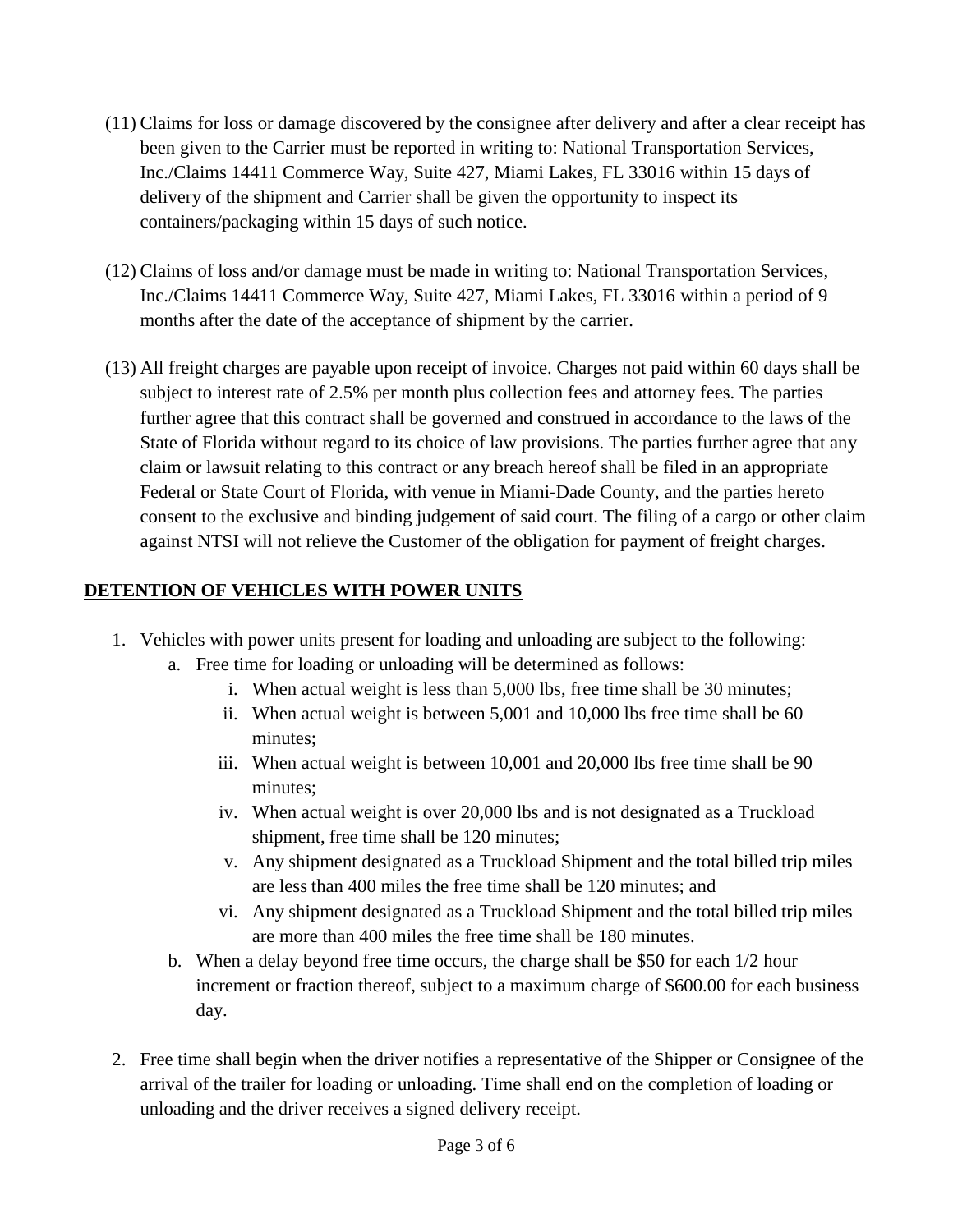- (11) Claims for loss or damage discovered by the consignee after delivery and after a clear receipt has been given to the Carrier must be reported in writing to: National Transportation Services, Inc./Claims 14411 Commerce Way, Suite 427, Miami Lakes, FL 33016 within 15 days of delivery of the shipment and Carrier shall be given the opportunity to inspect its containers/packaging within 15 days of such notice.
- (12) Claims of loss and/or damage must be made in writing to: National Transportation Services, Inc./Claims 14411 Commerce Way, Suite 427, Miami Lakes, FL 33016 within a period of 9 months after the date of the acceptance of shipment by the carrier.
- (13) All freight charges are payable upon receipt of invoice. Charges not paid within 60 days shall be subject to interest rate of 2.5% per month plus collection fees and attorney fees. The parties further agree that this contract shall be governed and construed in accordance to the laws of the State of Florida without regard to its choice of law provisions. The parties further agree that any claim or lawsuit relating to this contract or any breach hereof shall be filed in an appropriate Federal or State Court of Florida, with venue in Miami-Dade County, and the parties hereto consent to the exclusive and binding judgement of said court. The filing of a cargo or other claim against NTSI will not relieve the Customer of the obligation for payment of freight charges.

## **DETENTION OF VEHICLES WITH POWER UNITS**

- 1. Vehicles with power units present for loading and unloading are subject to the following:
	- a. Free time for loading or unloading will be determined as follows:
		- i. When actual weight is less than 5,000 lbs, free time shall be 30 minutes;
		- ii. When actual weight is between 5,001 and 10,000 lbs free time shall be 60 minutes;
		- iii. When actual weight is between 10,001 and 20,000 lbs free time shall be 90 minutes;
		- iv. When actual weight is over 20,000 lbs and is not designated as a Truckload shipment, free time shall be 120 minutes;
		- v. Any shipment designated as a Truckload Shipment and the total billed trip miles are less than 400 miles the free time shall be 120 minutes; and
		- vi. Any shipment designated as a Truckload Shipment and the total billed trip miles are more than 400 miles the free time shall be 180 minutes.
	- b. When a delay beyond free time occurs, the charge shall be \$50 for each 1/2 hour increment or fraction thereof, subject to a maximum charge of \$600.00 for each business day.
- 2. Free time shall begin when the driver notifies a representative of the Shipper or Consignee of the arrival of the trailer for loading or unloading. Time shall end on the completion of loading or unloading and the driver receives a signed delivery receipt.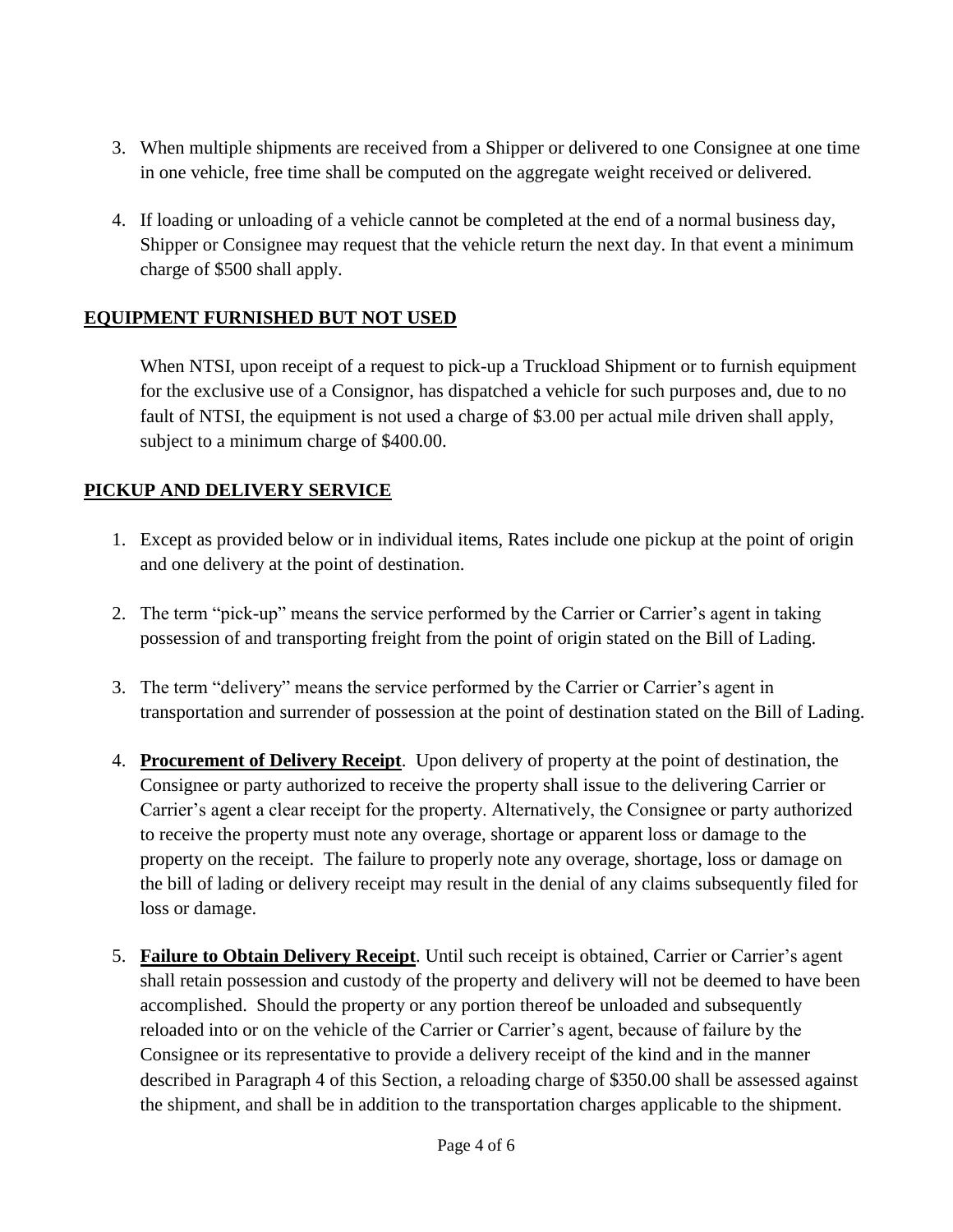- 3. When multiple shipments are received from a Shipper or delivered to one Consignee at one time in one vehicle, free time shall be computed on the aggregate weight received or delivered.
- 4. If loading or unloading of a vehicle cannot be completed at the end of a normal business day, Shipper or Consignee may request that the vehicle return the next day. In that event a minimum charge of \$500 shall apply.

#### **EQUIPMENT FURNISHED BUT NOT USED**

When NTSI, upon receipt of a request to pick-up a Truckload Shipment or to furnish equipment for the exclusive use of a Consignor, has dispatched a vehicle for such purposes and, due to no fault of NTSI, the equipment is not used a charge of \$3.00 per actual mile driven shall apply, subject to a minimum charge of \$400.00.

#### **PICKUP AND DELIVERY SERVICE**

- 1. Except as provided below or in individual items, Rates include one pickup at the point of origin and one delivery at the point of destination.
- 2. The term "pick-up" means the service performed by the Carrier or Carrier's agent in taking possession of and transporting freight from the point of origin stated on the Bill of Lading.
- 3. The term "delivery" means the service performed by the Carrier or Carrier's agent in transportation and surrender of possession at the point of destination stated on the Bill of Lading.
- 4. **Procurement of Delivery Receipt**. Upon delivery of property at the point of destination, the Consignee or party authorized to receive the property shall issue to the delivering Carrier or Carrier's agent a clear receipt for the property. Alternatively, the Consignee or party authorized to receive the property must note any overage, shortage or apparent loss or damage to the property on the receipt. The failure to properly note any overage, shortage, loss or damage on the bill of lading or delivery receipt may result in the denial of any claims subsequently filed for loss or damage.
- 5. **Failure to Obtain Delivery Receipt**. Until such receipt is obtained, Carrier or Carrier's agent shall retain possession and custody of the property and delivery will not be deemed to have been accomplished. Should the property or any portion thereof be unloaded and subsequently reloaded into or on the vehicle of the Carrier or Carrier's agent, because of failure by the Consignee or its representative to provide a delivery receipt of the kind and in the manner described in Paragraph 4 of this Section, a reloading charge of \$350.00 shall be assessed against the shipment, and shall be in addition to the transportation charges applicable to the shipment.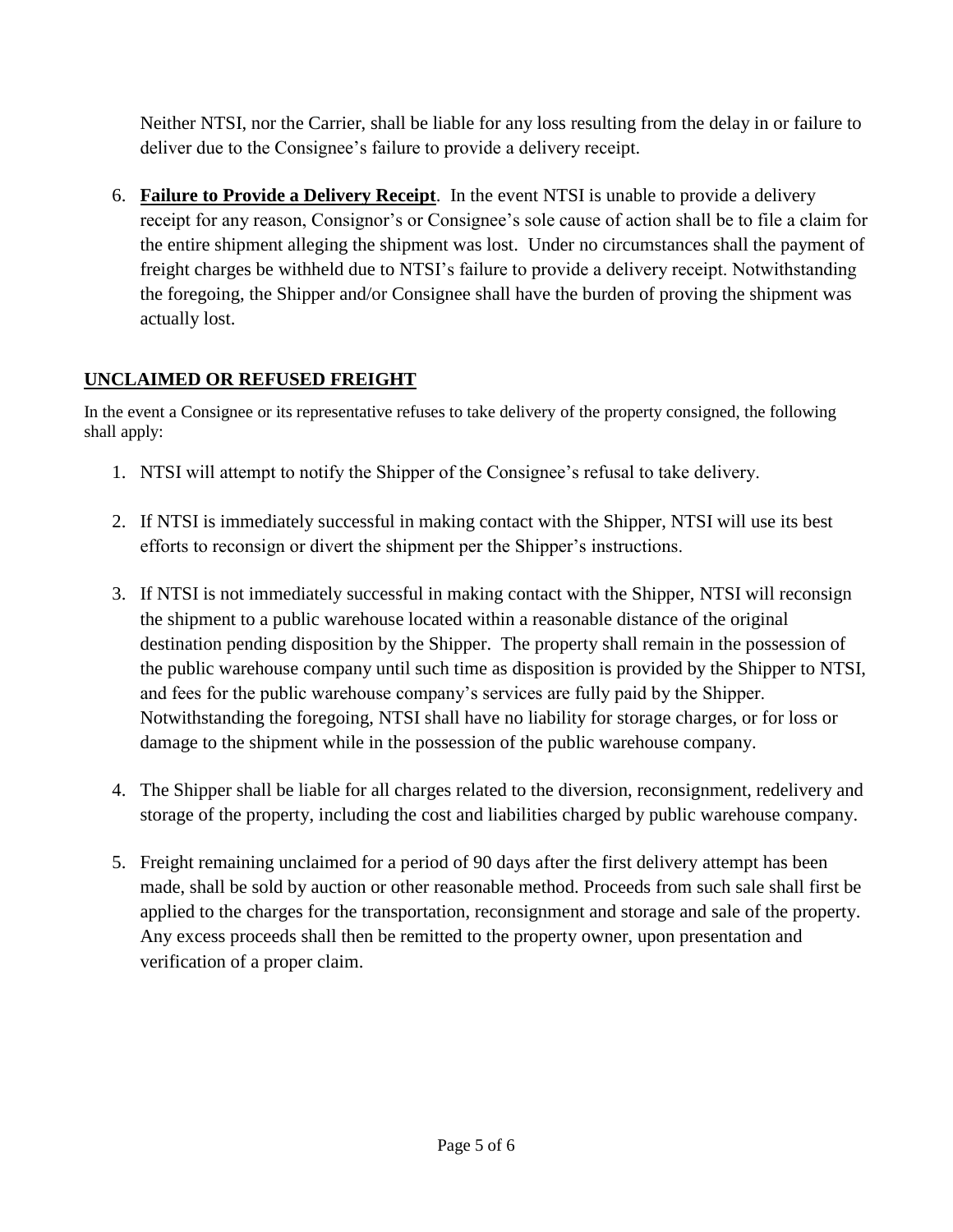Neither NTSI, nor the Carrier, shall be liable for any loss resulting from the delay in or failure to deliver due to the Consignee's failure to provide a delivery receipt.

6. **Failure to Provide a Delivery Receipt**. In the event NTSI is unable to provide a delivery receipt for any reason, Consignor's or Consignee's sole cause of action shall be to file a claim for the entire shipment alleging the shipment was lost. Under no circumstances shall the payment of freight charges be withheld due to NTSI's failure to provide a delivery receipt. Notwithstanding the foregoing, the Shipper and/or Consignee shall have the burden of proving the shipment was actually lost.

# **UNCLAIMED OR REFUSED FREIGHT**

In the event a Consignee or its representative refuses to take delivery of the property consigned, the following shall apply:

- 1. NTSI will attempt to notify the Shipper of the Consignee's refusal to take delivery.
- 2. If NTSI is immediately successful in making contact with the Shipper, NTSI will use its best efforts to reconsign or divert the shipment per the Shipper's instructions.
- 3. If NTSI is not immediately successful in making contact with the Shipper, NTSI will reconsign the shipment to a public warehouse located within a reasonable distance of the original destination pending disposition by the Shipper. The property shall remain in the possession of the public warehouse company until such time as disposition is provided by the Shipper to NTSI, and fees for the public warehouse company's services are fully paid by the Shipper. Notwithstanding the foregoing, NTSI shall have no liability for storage charges, or for loss or damage to the shipment while in the possession of the public warehouse company.
- 4. The Shipper shall be liable for all charges related to the diversion, reconsignment, redelivery and storage of the property, including the cost and liabilities charged by public warehouse company.
- 5. Freight remaining unclaimed for a period of 90 days after the first delivery attempt has been made, shall be sold by auction or other reasonable method. Proceeds from such sale shall first be applied to the charges for the transportation, reconsignment and storage and sale of the property. Any excess proceeds shall then be remitted to the property owner, upon presentation and verification of a proper claim.